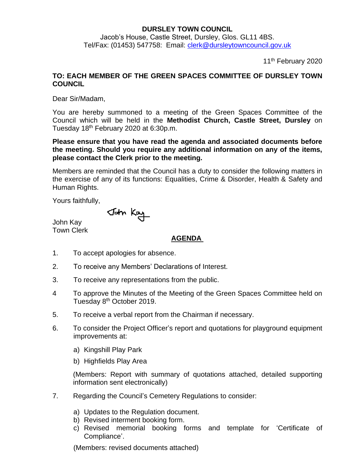## **DURSLEY TOWN COUNCIL**

Jacob's House, Castle Street, Dursley, Glos. GL11 4BS. Tel/Fax: (01453) 547758: Email: [clerk@dursleytowncouncil.gov.uk](mailto:clerk@dursleytowncouncil.gov.uk)

11<sup>th</sup> February 2020

## **TO: EACH MEMBER OF THE GREEN SPACES COMMITTEE OF DURSLEY TOWN COUNCIL**

Dear Sir/Madam,

You are hereby summoned to a meeting of the Green Spaces Committee of the Council which will be held in the **Methodist Church, Castle Street, Dursley** on Tuesday 18<sup>th</sup> February 2020 at 6:30p.m.

**Please ensure that you have read the agenda and associated documents before the meeting. Should you require any additional information on any of the items, please contact the Clerk prior to the meeting.** 

Members are reminded that the Council has a duty to consider the following matters in the exercise of any of its functions: Equalities, Crime & Disorder, Health & Safety and Human Rights.

Yours faithfully,

John Kay

John Kay Town Clerk

## **AGENDA**

- 1. To accept apologies for absence.
- 2. To receive any Members' Declarations of Interest.
- 3. To receive any representations from the public.
- 4 To approve the Minutes of the Meeting of the Green Spaces Committee held on Tuesday 8<sup>th</sup> October 2019.
- 5. To receive a verbal report from the Chairman if necessary.
- 6. To consider the Project Officer's report and quotations for playground equipment improvements at:
	- a) Kingshill Play Park
	- b) Highfields Play Area

(Members: Report with summary of quotations attached, detailed supporting information sent electronically)

- 7. Regarding the Council's Cemetery Regulations to consider:
	- a) Updates to the Regulation document.
	- b) Revised interment booking form.
	- c) Revised memorial booking forms and template for 'Certificate of Compliance'.

(Members: revised documents attached)